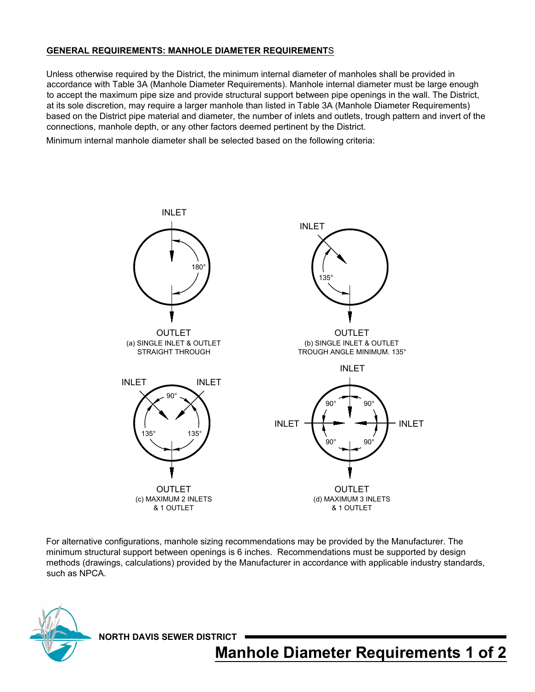## **GENERAL REQUIREMENTS: MANHOLE DIAMETER REQUIREMENT**S

Unless otherwise required by the District, the minimum internal diameter of manholes shall be provided in accordance with Table 3A (Manhole Diameter Requirements). Manhole internal diameter must be large enough to accept the maximum pipe size and provide structural support between pipe openings in the wall. The District, at its sole discretion, may require a larger manhole than listed in Table 3A (Manhole Diameter Requirements) based on the District pipe material and diameter, the number of inlets and outlets, trough pattern and invert of the connections, manhole depth, or any other factors deemed pertinent by the District.

Minimum internal manhole diameter shall be selected based on the following criteria:



For alternative configurations, manhole sizing recommendations may be provided by the Manufacturer. The minimum structural support between openings is 6 inches. Recommendations must be supported by design methods (drawings, calculations) provided by the Manufacturer in accordance with applicable industry standards, such as NPCA.



**NORTH DAVIS SEWER DISTRICT**

**Manhole Diameter Requirements 1 of 2**